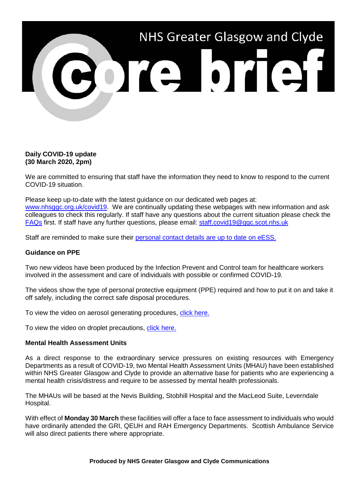

## **Daily COVID-19 update (30 March 2020, 2pm)**

We are committed to ensuring that staff have the information they need to know to respond to the current COVID-19 situation.

Please keep up-to-date with the latest guidance on our dedicated web pages at: [www.nhsggc.org.uk/covid19.](http://www.nhsggc.org.uk/covid19) We are continually updating these webpages with new information and ask colleagues to check this regularly. If staff have any questions about the current situation please check the [FAQs](https://www.nhsggc.org.uk/your-health/health-issues/covid-19-coronavirus/for-nhsggc-staff/faqs/) first. If staff have any further questions, please email: [staff.covid19@ggc.scot.nhs.uk](mailto:staff.covid19@ggc.scot.nhs.uk)

Staff are reminded to make sure their [personal contact details are up to date on eESS.](https://www.eess.nhs.scot/ess/)

## **Guidance on PPE**

Two new videos have been produced by the Infection Prevent and Control team for healthcare workers involved in the assessment and care of individuals with possible or confirmed COVID-19.

The videos show the type of personal protective equipment (PPE) required and how to put it on and take it off safely, including the correct safe disposal procedures.

To view the video on aerosol generating procedures, [click here.](http://www.youtube.com/watch?v=NPJirTkajx0)

To view the video on droplet precautions, [click here.](http://www.youtube.com/watch?v=86JLXmPjtnk)

## **Mental Health Assessment Units**

As a direct response to the extraordinary service pressures on existing resources with Emergency Departments as a result of COVID-19, two Mental Health Assessment Units (MHAU) have been established within NHS Greater Glasgow and Clyde to provide an alternative base for patients who are experiencing a mental health crisis/distress and require to be assessed by mental health professionals.

The MHAUs will be based at the Nevis Building, Stobhill Hospital and the MacLeod Suite, Leverndale Hospital.

With effect of **Monday 30 March** these facilities will offer a face to face assessment to individuals who would have ordinarily attended the GRI, QEUH and RAH Emergency Departments. Scottish Ambulance Service will also direct patients there where appropriate.

### **Produced by NHS Greater Glasgow and Clyde Communications**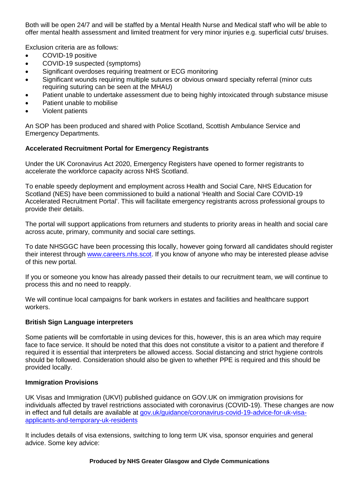Both will be open 24/7 and will be staffed by a Mental Health Nurse and Medical staff who will be able to offer mental health assessment and limited treatment for very minor injuries e.g. superficial cuts/ bruises.

Exclusion criteria are as follows:

- COVID-19 positive
- COVID-19 suspected (symptoms)
- Significant overdoses requiring treatment or ECG monitoring
- Significant wounds requiring multiple sutures or obvious onward specialty referral (minor cuts requiring suturing can be seen at the MHAU)
- Patient unable to undertake assessment due to being highly intoxicated through substance misuse
- Patient unable to mobilise
- Violent patients

An SOP has been produced and shared with Police Scotland, Scottish Ambulance Service and Emergency Departments.

# **Accelerated Recruitment Portal for Emergency Registrants**

Under the UK Coronavirus Act 2020, Emergency Registers have opened to former registrants to accelerate the workforce capacity across NHS Scotland.

To enable speedy deployment and employment across Health and Social Care, NHS Education for Scotland (NES) have been commissioned to build a national 'Health and Social Care COVID-19 Accelerated Recruitment Portal'. This will facilitate emergency registrants across professional groups to provide their details.

The portal will support applications from returners and students to priority areas in health and social care across acute, primary, community and social care settings.

To date NHSGGC have been processing this locally, however going forward all candidates should register their interest through [www.careers.nhs.scot.](http://www.careers.nhs.scot/) If you know of anyone who may be interested please advise of this new portal.

If you or someone you know has already passed their details to our recruitment team, we will continue to process this and no need to reapply.

We will continue local campaigns for bank workers in estates and facilities and healthcare support workers.

## **British Sign Language interpreters**

Some patients will be comfortable in using devices for this, however, this is an area which may require face to face service. It should be noted that this does not constitute a visitor to a patient and therefore if required it is essential that interpreters be allowed access. Social distancing and strict hygiene controls should be followed. Consideration should also be given to whether PPE is required and this should be provided locally.

## **Immigration Provisions**

UK Visas and Immigration (UKVI) published guidance on GOV.UK on immigration provisions for individuals affected by travel restrictions associated with coronavirus (COVID-19). These changes are now in effect and full details are available at [gov.uk/guidance/coronavirus-covid-19-advice-for-uk-visa](file://xggc-fsrv-01/shares/Communications/Corporate%20Communications/Internal%20Comms/Briefs/2020/Core%20Brief/BLOCKEDresponse%5B.%5Dsmartcdn%5B.%5Dco%5B.%5Duk/homeofficeR4/mailresponse%5B.%5Dasp)[applicants-and-temporary-uk-residents](file://xggc-fsrv-01/shares/Communications/Corporate%20Communications/Internal%20Comms/Briefs/2020/Core%20Brief/BLOCKEDresponse%5B.%5Dsmartcdn%5B.%5Dco%5B.%5Duk/homeofficeR4/mailresponse%5B.%5Dasp)

It includes details of visa extensions, switching to long term UK visa, sponsor enquiries and general advice. Some key advice:

### **Produced by NHS Greater Glasgow and Clyde Communications**